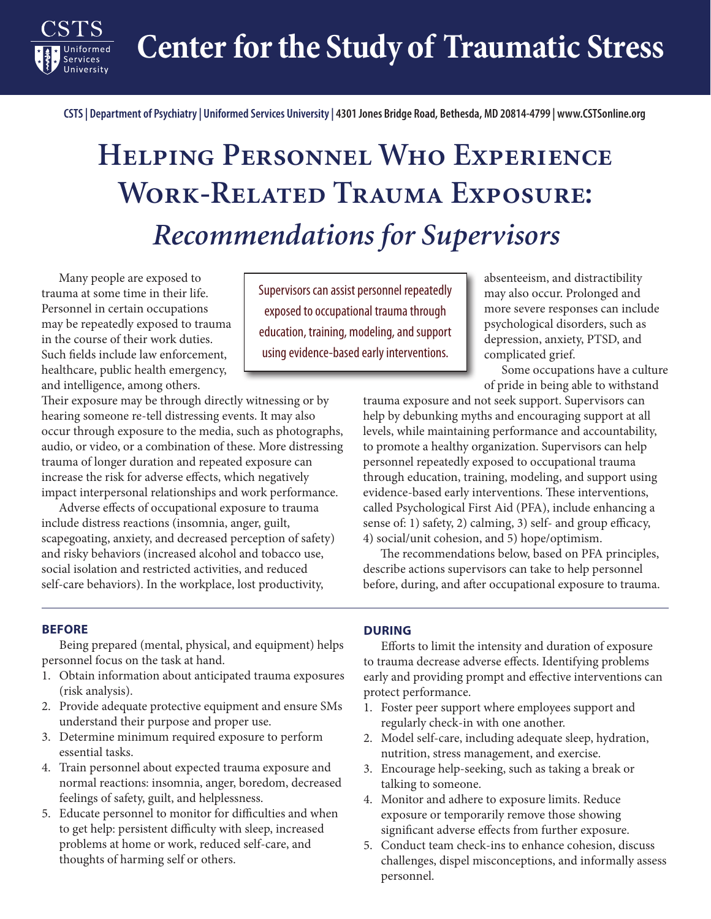**Center for the Study of Traumatic Stress**

**CSTS | Department of Psychiatry | Uniformed Services University | 4301 Jones Bridge Road, Bethesda, MD 20814-4799 | www.CSTSonline.org**

# **Helping Personnel Who Experience Work-Related Trauma Exposure:**  *Recommendations for Supervisors*

Many people are exposed to trauma at some time in their life. Personnel in certain occupations may be repeatedly exposed to trauma in the course of their work duties. Such fields include law enforcement, healthcare, public health emergency, and intelligence, among others.

Services

Their exposure may be through directly witnessing or by hearing someone re-tell distressing events. It may also occur through exposure to the media, such as photographs, audio, or video, or a combination of these. More distressing trauma of longer duration and repeated exposure can increase the risk for adverse effects, which negatively impact interpersonal relationships and work performance.

Adverse effects of occupational exposure to trauma include distress reactions (insomnia, anger, guilt, scapegoating, anxiety, and decreased perception of safety) and risky behaviors (increased alcohol and tobacco use, social isolation and restricted activities, and reduced self-care behaviors). In the workplace, lost productivity,

Supervisors can assist personnel repeatedly exposed to occupational trauma through education, training, modeling, and support using evidence-based early interventions.

absenteeism, and distractibility may also occur. Prolonged and more severe responses can include psychological disorders, such as depression, anxiety, PTSD, and complicated grief.

Some occupations have a culture of pride in being able to withstand

trauma exposure and not seek support. Supervisors can help by debunking myths and encouraging support at all levels, while maintaining performance and accountability, to promote a healthy organization. Supervisors can help personnel repeatedly exposed to occupational trauma through education, training, modeling, and support using evidence-based early interventions. These interventions, called Psychological First Aid (PFA), include enhancing a sense of: 1) safety, 2) calming, 3) self- and group efficacy, 4) social/unit cohesion, and 5) hope/optimism.

The recommendations below, based on PFA principles, describe actions supervisors can take to help personnel before, during, and after occupational exposure to trauma.

#### **BEFORE**

Being prepared (mental, physical, and equipment) helps personnel focus on the task at hand.

- 1. Obtain information about anticipated trauma exposures (risk analysis).
- 2. Provide adequate protective equipment and ensure SMs understand their purpose and proper use.
- 3. Determine minimum required exposure to perform essential tasks.
- 4. Train personnel about expected trauma exposure and normal reactions: insomnia, anger, boredom, decreased feelings of safety, guilt, and helplessness.
- 5. Educate personnel to monitor for difficulties and when to get help: persistent difficulty with sleep, increased problems at home or work, reduced self-care, and thoughts of harming self or others.

### **DURING**

Efforts to limit the intensity and duration of exposure to trauma decrease adverse effects. Identifying problems early and providing prompt and effective interventions can protect performance.

- 1. Foster peer support where employees support and regularly check-in with one another.
- 2. Model self-care, including adequate sleep, hydration, nutrition, stress management, and exercise.
- 3. Encourage help-seeking, such as taking a break or talking to someone.
- 4. Monitor and adhere to exposure limits. Reduce exposure or temporarily remove those showing significant adverse effects from further exposure.
- 5. Conduct team check-ins to enhance cohesion, discuss challenges, dispel misconceptions, and informally assess personnel.